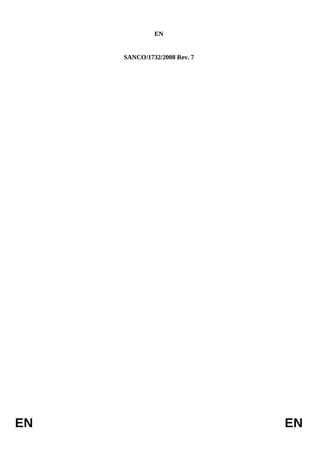## **SANCO/1732/2008 Rev. 7**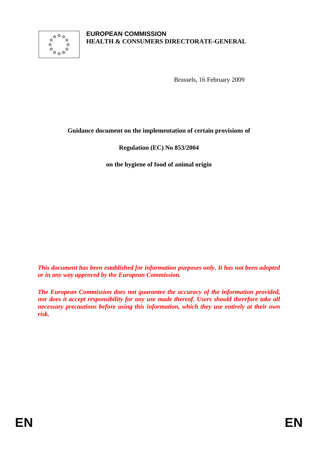

#### **EUROPEAN COMMISSION HEALTH & CONSUMERS DIRECTORATE-GENERAL**

Brussels, 16 February 2009

#### **Guidance document on the implementation of certain provisions of**

### **Regulation (EC) No 853/2004**

**on the hygiene of food of animal origin** 

*This document has been established for information purposes only. It has not been adopted or in any way approved by the European Commission.* 

*The European Commission does not guarantee the accuracy of the information provided, nor does it accept responsibility for any use made thereof. Users should therefore take all necessary precautions before using this information, which they use entirely at their own risk.*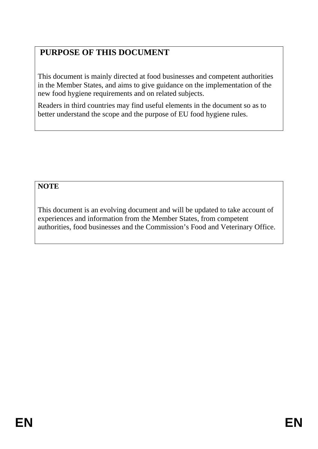# **PURPOSE OF THIS DOCUMENT**

This document is mainly directed at food businesses and competent authorities in the Member States, and aims to give guidance on the implementation of the new food hygiene requirements and on related subjects.

Readers in third countries may find useful elements in the document so as to better understand the scope and the purpose of EU food hygiene rules.

# **NOTE**

This document is an evolving document and will be updated to take account of experiences and information from the Member States, from competent authorities, food businesses and the Commission's Food and Veterinary Office.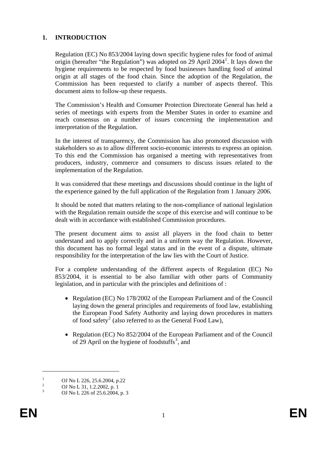#### **1. INTRODUCTION**

Regulation (EC) No 853/2004 laying down specific hygiene rules for food of animal origin (hereafter "the Regulation") was adopted on 29 April 2004<sup>[1](#page-3-0)</sup>. It lays down the hygiene requirements to be respected by food businesses handling food of animal origin at all stages of the food chain. Since the adoption of the Regulation, the Commission has been requested to clarify a number of aspects thereof. This document aims to follow-up these requests.

The Commission's Health and Consumer Protection Directorate General has held a series of meetings with experts from the Member States in order to examine and reach consensus on a number of issues concerning the implementation and interpretation of the Regulation.

In the interest of transparency, the Commission has also promoted discussion with stakeholders so as to allow different socio-economic interests to express an opinion. To this end the Commission has organised a meeting with representatives from producers, industry, commerce and consumers to discuss issues related to the implementation of the Regulation.

It was considered that these meetings and discussions should continue in the light of the experience gained by the full application of the Regulation from 1 January 2006.

It should be noted that matters relating to the non-compliance of national legislation with the Regulation remain outside the scope of this exercise and will continue to be dealt with in accordance with established Commission procedures.

The present document aims to assist all players in the food chain to better understand and to apply correctly and in a uniform way the Regulation. However, this document has no formal legal status and in the event of a dispute, ultimate responsibility for the interpretation of the law lies with the Court of Justice.

For a complete understanding of the different aspects of Regulation (EC) No 853/2004, it is essential to be also familiar with other parts of Community legislation, and in particular with the principles and definitions of :

- Regulation (EC) No 178/2002 of the European Parliament and of the Council laying down the general principles and requirements of food law, establishing the European Food Safety Authority and laying down procedures in matters of food safety<sup>[2](#page-3-1)</sup> (also referred to as the General Food Law),
- Regulation (EC) No 852/2004 of the European Parliament and of the Council of 29 April on the hygiene of foodstuffs<sup>[3](#page-3-2)</sup>, and

 $\overline{a}$ 

<span id="page-3-0"></span><sup>1</sup> OJ No L 226, 25.6.2004, p.22 2

OJ No L 31, 1.2.2002, p. 1

<span id="page-3-2"></span><span id="page-3-1"></span><sup>3</sup> OJ No L 226 of 25.6.2004, p. 3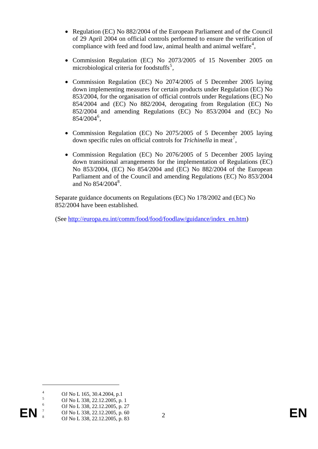- Regulation (EC) No 882/2004 of the European Parliament and of the Council of 29 April 2004 on official controls performed to ensure the verification of compliance with feed and food law, animal health and animal welfare $4$ ,
- Commission Regulation (EC) No 2073/2005 of 15 November 2005 on microbiological criteria for foodstuffs<sup>[5](#page-4-1)</sup>,
- Commission Regulation (EC) No 2074/2005 of 5 December 2005 laying down implementing measures for certain products under Regulation (EC) No 853/2004, for the organisation of official controls under Regulations (EC) No 854/2004 and (EC) No 882/2004, derogating from Regulation (EC) No 852/2004 and amending Regulations (EC) No 853/2004 and (EC) No 854/2004<sup>[6](#page-4-2)</sup>,
- Commission Regulation (EC) No 2075/2005 of 5 December 2005 laying down specific rules on official controls for *Trichinella* in meat<sup>[7](#page-4-3)</sup>,
- Commission Regulation (EC) No 2076/2005 of 5 December 2005 laying down transitional arrangements for the implementation of Regulations (EC) No 853/2004, (EC) No 854/2004 and (EC) No 882/2004 of the European Parliament and of the Council and amending Regulations (EC) No 853/2004 and No [8](#page-4-4)54/2004<sup>8</sup>.

Separate guidance documents on Regulations (EC) No 178/2002 and (EC) No 852/2004 have been established.

(See [http://europa.eu.int/comm/food/food/foodlaw/guidance/index\\_en.htm](http://europa.eu.int/comm/food/food/foodlaw/guidance/index_en.htm))

 $\overline{a}$ 

- 5 OJ No L 338, 22.12.2005, p. 1
- 6 OJ No L 338, 22.12.2005, p. 27 7
- <span id="page-4-4"></span><span id="page-4-3"></span><span id="page-4-2"></span><span id="page-4-1"></span><span id="page-4-0"></span>**EN** <sup>2</sup> **OJ** No L 338, 22.12.2005, p. 60<br>
OJ No L 338, 22.12.2005, p. 60<br>
2 8 OJ No L 338, 22.12.2005, p. 83

<sup>4</sup> OJ No L 165, 30.4.2004, p.1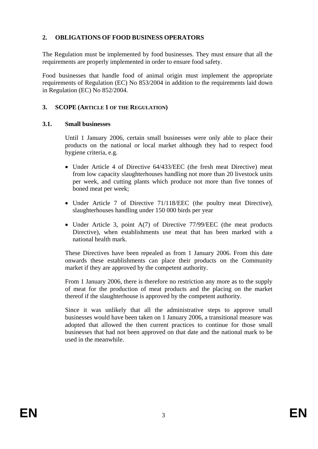### **2. OBLIGATIONS OF FOOD BUSINESS OPERATORS**

The Regulation must be implemented by food businesses. They must ensure that all the requirements are properly implemented in order to ensure food safety.

Food businesses that handle food of animal origin must implement the appropriate requirements of Regulation (EC) No 853/2004 in addition to the requirements laid down in Regulation (EC) No 852/2004.

#### **3. SCOPE (ARTICLE 1 OF THE REGULATION)**

#### **3.1. Small businesses**

Until 1 January 2006, certain small businesses were only able to place their products on the national or local market although they had to respect food hygiene criteria, e.g.

- Under Article 4 of Directive 64/433/EEC (the fresh meat Directive) meat from low capacity slaughterhouses handling not more than 20 livestock units per week, and cutting plants which produce not more than five tonnes of boned meat per week;
- Under Article 7 of Directive 71/118/EEC (the poultry meat Directive), slaughterhouses handling under 150 000 birds per year
- Under Article 3, point A(7) of Directive 77/99/EEC (the meat products Directive), when establishments use meat that has been marked with a national health mark.

These Directives have been repealed as from 1 January 2006. From this date onwards these establishments can place their products on the Community market if they are approved by the competent authority.

From 1 January 2006, there is therefore no restriction any more as to the supply of meat for the production of meat products and the placing on the market thereof if the slaughterhouse is approved by the competent authority.

Since it was unlikely that all the administrative steps to approve small businesses would have been taken on 1 January 2006, a transitional measure was adopted that allowed the then current practices to continue for those small businesses that had not been approved on that date and the national mark to be used in the meanwhile.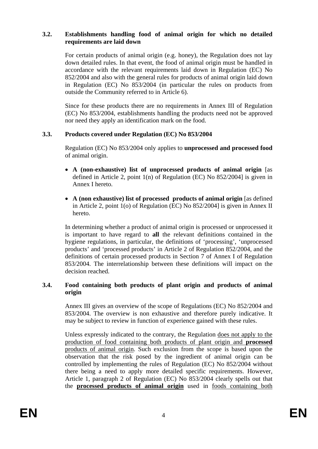#### **3.2. Establishments handling food of animal origin for which no detailed requirements are laid down**

For certain products of animal origin (e.g. honey), the Regulation does not lay down detailed rules. In that event, the food of animal origin must be handled in accordance with the relevant requirements laid down in Regulation (EC) No 852/2004 and also with the general rules for products of animal origin laid down in Regulation (EC) No 853/2004 (in particular the rules on products from outside the Community referred to in Article 6).

Since for these products there are no requirements in Annex III of Regulation (EC) No 853/2004, establishments handling the products need not be approved nor need they apply an identification mark on the food.

#### **3.3. Products covered under Regulation (EC) No 853/2004**

Regulation (EC) No 853/2004 only applies to **unprocessed and processed food** of animal origin.

- **A (non-exhaustive) list of unprocessed products of animal origin** [as defined in Article 2, point 1(n) of Regulation (EC) No 852/2004] is given in Annex I hereto.
- **A (non exhaustive) list of processed products of animal origin** [as defined in Article 2, point 1(o) of Regulation (EC) No 852/2004] is given in Annex II hereto.

In determining whether a product of animal origin is processed or unprocessed it is important to have regard to **all** the relevant definitions contained in the hygiene regulations, in particular, the definitions of 'processing', 'unprocessed products' and 'processed products' in Article 2 of Regulation 852/2004, and the definitions of certain processed products in Section 7 of Annex I of Regulation 853/2004. The interrelationship between these definitions will impact on the decision reached.

#### **3.4. Food containing both products of plant origin and products of animal origin**

Annex III gives an overview of the scope of Regulations (EC) No 852/2004 and 853/2004. The overview is non exhaustive and therefore purely indicative. It may be subject to review in function of experience gained with these rules.

Unless expressly indicated to the contrary, the Regulation does not apply to the production of food containing both products of plant origin and **processed** products of animal origin. Such exclusion from the scope is based upon the observation that the risk posed by the ingredient of animal origin can be controlled by implementing the rules of Regulation (EC) No 852/2004 without there being a need to apply more detailed specific requirements. However, Article 1, paragraph 2 of Regulation (EC) No 853/2004 clearly spells out that the **processed products of animal origin** used in foods containing both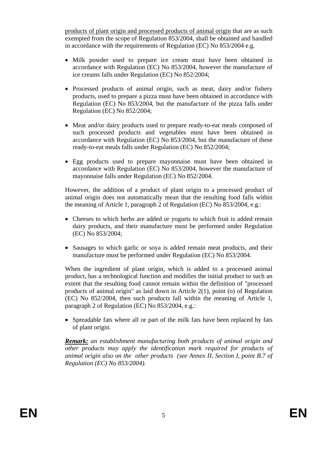products of plant origin and processed products of animal origin that are as such exempted from the scope of Regulation 853/2004, shall be obtained and handled in accordance with the requirements of Regulation (EC) No 853/2004 e.g.

- Milk powder used to prepare ice cream must have been obtained in accordance with Regulation (EC) No 853/2004, however the manufacture of ice creams falls under Regulation (EC) No 852/2004;
- Processed products of animal origin, such as meat, dairy and/or fishery products, used to prepare a pizza must have been obtained in accordance with Regulation (EC) No 853/2004, but the manufacture of the pizza falls under Regulation (EC) No 852/2004;
- Meat and/or dairy products used to prepare ready-to-eat meals composed of such processed products and vegetables must have been obtained in accordance with Regulation (EC) No 853/2004, but the manufacture of these ready-to-eat meals falls under Regulation (EC) No 852/2004;
- Egg products used to prepare mayonnaise must have been obtained in accordance with Regulation (EC) No 853/2004, however the manufacture of mayonnaise falls under Regulation (EC) No 852/2004.

However, the addition of a product of plant origin to a processed product of animal origin does not automatically mean that the resulting food falls within the meaning of Article 1, paragraph 2 of Regulation (EC) No 853/2004, e.g.:

- Cheeses to which herbs are added or yogurts to which fruit is added remain dairy products, and their manufacture must be performed under Regulation (EC) No 853/2004;
- Sausages to which garlic or soya is added remain meat products, and their manufacture must be performed under Regulation (EC) No 853/2004.

When the ingredient of plant origin, which is added to a processed animal product, has a technological function and modifies the initial product to such an extent that the resulting food cannot remain within the definition of "processed products of animal origin" as laid down in Article 2(1), point (o) of Regulation (EC) No 852/2004, then such products fall within the meaning of Article 1, paragraph 2 of Regulation (EC) No 853/2004, e.g.:

• Spreadable fats where all or part of the milk fats have been replaced by fats of plant origin.

*Remark: an establishment manufacturing both products of animal origin and other products may apply the identification mark required for products of animal origin also on the other products (see Annex II, Section I, point B.7 of Regulation (EC) No 853/2004).*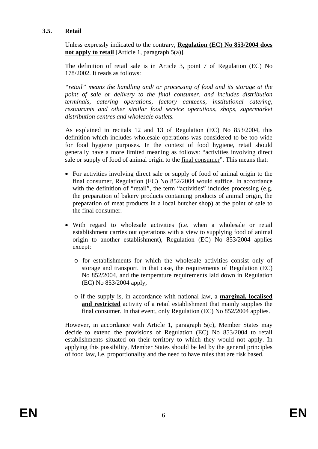#### **3.5. Retail**

Unless expressly indicated to the contrary, **Regulation (EC) No 853/2004 does not apply to retail** [Article 1, paragraph 5(a)].

The definition of retail sale is in Article 3, point 7 of Regulation (EC) No 178/2002. It reads as follows:

*"retail" means the handling and/ or processing of food and its storage at the point of sale or delivery to the final consumer, and includes distribution terminals, catering operations, factory canteens, institutional catering, restaurants and other similar food service operations, shops, supermarket distribution centres and wholesale outlets.* 

As explained in recitals 12 and 13 of Regulation (EC) No 853/2004, this definition which includes wholesale operations was considered to be too wide for food hygiene purposes. In the context of food hygiene, retail should generally have a more limited meaning as follows: "activities involving direct sale or supply of food of animal origin to the final consumer". This means that:

- For activities involving direct sale or supply of food of animal origin to the final consumer, Regulation (EC) No 852/2004 would suffice. In accordance with the definition of "retail", the term "activities" includes processing (e.g. the preparation of bakery products containing products of animal origin, the preparation of meat products in a local butcher shop) at the point of sale to the final consumer.
- With regard to wholesale activities (i.e. when a wholesale or retail establishment carries out operations with a view to supplying food of animal origin to another establishment), Regulation (EC) No 853/2004 applies except:
	- o for establishments for which the wholesale activities consist only of storage and transport. In that case, the requirements of Regulation (EC) No 852/2004, and the temperature requirements laid down in Regulation (EC) No 853/2004 apply,
	- o if the supply is, in accordance with national law, a **marginal, localised and restricted** activity of a retail establishment that mainly supplies the final consumer. In that event, only Regulation (EC) No 852/2004 applies.

However, in accordance with Article 1, paragraph 5(c), Member States may decide to extend the provisions of Regulation (EC) No 853/2004 to retail establishments situated on their territory to which they would not apply. In applying this possibility, Member States should be led by the general principles of food law, i.e. proportionality and the need to have rules that are risk based.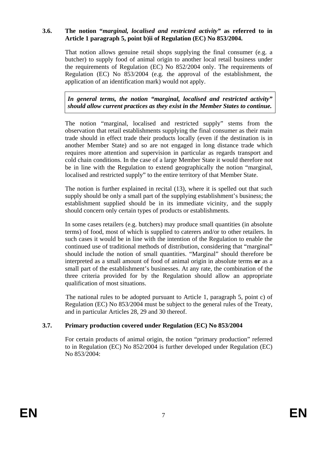#### **3.6. The notion "***marginal, localised and restricted activity"* **as referred to in Article 1 paragraph 5, point b)ii of Regulation (EC) No 853/2004.**

That notion allows genuine retail shops supplying the final consumer (e.g. a butcher) to supply food of animal origin to another local retail business under the requirements of Regulation (EC) No 852/2004 only. The requirements of Regulation (EC) No 853/2004 (e.g. the approval of the establishment, the application of an identification mark) would not apply.

*In general terms, the notion "marginal, localised and restricted activity" should allow current practices as they exist in the Member States to continue.* 

The notion "marginal, localised and restricted supply" stems from the observation that retail establishments supplying the final consumer as their main trade should in effect trade their products locally (even if the destination is in another Member State) and so are not engaged in long distance trade which requires more attention and supervision in particular as regards transport and cold chain conditions. In the case of a large Member State it would therefore not be in line with the Regulation to extend geographically the notion "marginal, localised and restricted supply" to the entire territory of that Member State.

The notion is further explained in recital (13), where it is spelled out that such supply should be only a small part of the supplying establishment's business; the establishment supplied should be in its immediate vicinity, and the supply should concern only certain types of products or establishments.

In some cases retailers (e.g. butchers) may produce small quantities (in absolute terms) of food, most of which is supplied to caterers and/or to other retailers. In such cases it would be in line with the intention of the Regulation to enable the continued use of traditional methods of distribution, considering that "marginal" should include the notion of small quantities. "Marginal" should therefore be interpreted as a small amount of food of animal origin in absolute terms **or** as a small part of the establishment's businesses. At any rate, the combination of the three criteria provided for by the Regulation should allow an appropriate qualification of most situations.

The national rules to be adopted pursuant to Article 1, paragraph 5, point c) of Regulation (EC) No 853/2004 must be subject to the general rules of the Treaty, and in particular Articles 28, 29 and 30 thereof.

### **3.7. Primary production covered under Regulation (EC) No 853/2004**

For certain products of animal origin, the notion "primary production" referred to in Regulation (EC) No 852/2004 is further developed under Regulation (EC) No 853/2004: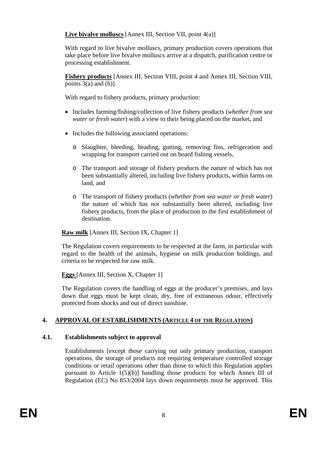**Live bivalve molluscs** [Annex III, Section VII, point 4(a)]

With regard to live bivalve molluscs, primary production covers operations that take place before live bivalve molluscs arrive at a dispatch, purification centre or processing establishment.

**Fishery products** [Annex III, Section VIII, point 4 and Annex III, Section VIII, points  $3(a)$  and  $(b)$ ].

With regard to fishery products, primary production:

- Includes farming/fishing/collection of live fishery products (*whether from sea water or fresh water*) with a view to their being placed on the market, and
- Includes the following associated operations:
	- o Slaughter, bleeding, heading, gutting, removing fins, refrigeration and wrapping for transport carried out on board fishing vessels,
	- o The transport and storage of fishery products the nature of which has not been substantially altered, including live fishery products, within farms on land, and
	- o The transport of fishery products (*whether from sea water or fresh water*) the nature of which has not substantially been altered, including live fishery products, from the place of production to the first establishment of destination.

**Raw milk** [Annex III, Section IX, Chapter 1]

The Regulation covers requirements to be respected at the farm, in particular with regard to the health of the animals, hygiene on milk production holdings, and criteria to be respected for raw milk.

**Eggs** [Annex III, Section X, Chapter 1]

The Regulation covers the handling of eggs at the producer's premises, and lays down that eggs must be kept clean, dry, free of extraneous odour, effectively protected from shocks and out of direct sunshine.

# **4. APPROVAL OF ESTABLISHMENTS (ARTICLE 4 OF THE REGULATION)**

# **4.1. Establishments subject to approval**

Establishments [except those carrying out only primary production, transport operations, the storage of products not requiring temperature controlled storage conditions or retail operations other than those to which this Regulation applies pursuant to Article 1(5)(b)] handling those products for which Annex III of Regulation (EC) No 853/2004 lays down requirements must be approved. This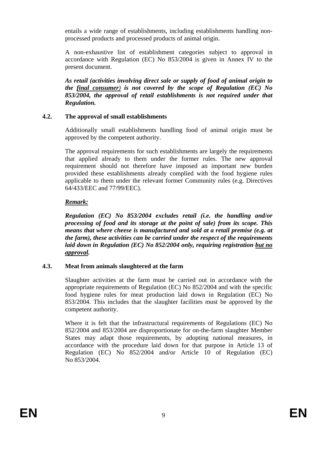entails a wide range of establishments, including establishments handling nonprocessed products and processed products of animal origin.

A non-exhaustive list of establishment categories subject to approval in accordance with Regulation (EC) No 853/2004 is given in Annex IV to the present document.

*As retail (activities involving direct sale or supply of food of animal origin to the final consumer) is not covered by the scope of Regulation (EC) No 853/2004, the approval of retail establishments is not required under that Regulation.* 

#### **4.2. The approval of small establishments**

Additionally small establishments handling food of animal origin must be approved by the competent authority.

The approval requirements for such establishments are largely the requirements that applied already to them under the former rules. The new approval requirement should not therefore have imposed an important new burden provided these establishments already complied with the food hygiene rules applicable to them under the relevant former Community rules (e.g. Directives 64/433/EEC and 77/99/EEC).

#### *Remark:*

*Regulation (EC) No 853/2004 excludes retail (i.e. the handling and/or processing of food and its storage at the point of sale) from its scope. This means that where cheese is manufactured and sold at a retail premise (e.g. at the farm), these activities can be carried under the respect of the requirements laid down in Regulation (EC) No 852/2004 only, requiring registration but no approval.*

#### **4.3. Meat from animals slaughtered at the farm**

Slaughter activities at the farm must be carried out in accordance with the appropriate requirements of Regulation (EC) No 852/2004 and with the specific food hygiene rules for meat production laid down in Regulation (EC) No 853/2004. This includes that the slaughter facilities must be approved by the competent authority.

Where it is felt that the infrastructural requirements of Regulations (EC) No 852/2004 and 853/2004 are disproportionate for on-the-farm slaughter Member States may adapt those requirements, by adopting national measures, in accordance with the procedure laid down for that purpose in Article 13 of Regulation (EC) No 852/2004 and/or Article 10 of Regulation (EC) No 853/2004.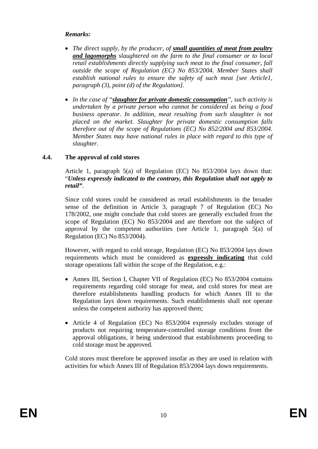#### *Remarks:*

- *The direct supply, by the producer, of small quantities of meat from poultry and lagomorphs slaughtered on the farm to the final consumer or to local retail establishments directly supplying such meat to the final consumer, fall outside the scope of Regulation (EC) No 853/2004. Member States shall establish national rules to ensure the safety of such meat [see Article1, paragraph (3), point (d) of the Regulation].*
- *In the case of "slaughter for private domestic consumption", such activity is undertaken by a private person who cannot be considered as being a food business operator. In addition, meat resulting from such slaughter is not placed on the market. Slaughter for private domestic consumption falls therefore out of the scope of Regulations (EC) No 852/2004 and 853/2004. Member States may have national rules in place with regard to this type of slaughter.*

#### **4.4. The approval of cold stores**

Article 1, paragraph 5(a) of Regulation (EC) No 853/2004 lays down that: "*Unless expressly indicated to the contrary, this Regulation shall not apply to retail"*.

Since cold stores could be considered as retail establishments in the broader sense of the definition in Article 3, paragraph 7 of Regulation (EC) No 178/2002, one might conclude that cold stores are generally excluded from the scope of Regulation (EC) No 853/2004 and are therefore not the subject of approval by the competent authorities (see Article 1, paragraph 5(a) of Regulation (EC) No 853/2004).

However, with regard to cold storage, Regulation (EC) No 853/2004 lays down requirements which must be considered as **expressly indicating** that cold storage operations fall within the scope of the Regulation, e.g.:

- Annex III, Section I, Chapter VII of Regulation (EC) No 853/2004 contains requirements regarding cold storage for meat, and cold stores for meat are therefore establishments handling products for which Annex III to the Regulation lays down requirements. Such establishments shall not operate unless the competent authority has approved them;
- Article 4 of Regulation (EC) No 853/2004 expressly excludes storage of products not requiring temperature-controlled storage conditions from the approval obligations, it being understood that establishments proceeding to cold storage must be approved.

Cold stores must therefore be approved insofar as they are used in relation with activities for which Annex III of Regulation 853/2004 lays down requirements.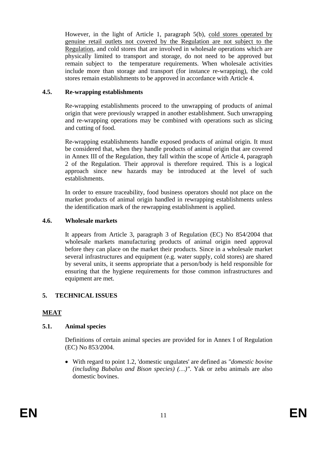However, in the light of Article 1, paragraph 5(b), cold stores operated by genuine retail outlets not covered by the Regulation are not subject to the Regulation, and cold stores that are involved in wholesale operations which are physically limited to transport and storage, do not need to be approved but remain subject to the temperature requirements. When wholesale activities include more than storage and transport (for instance re-wrapping), the cold stores remain establishments to be approved in accordance with Article 4.

#### **4.5. Re-wrapping establishments**

Re-wrapping establishments proceed to the unwrapping of products of animal origin that were previously wrapped in another establishment. Such unwrapping and re-wrapping operations may be combined with operations such as slicing and cutting of food.

Re-wrapping establishments handle exposed products of animal origin. It must be considered that, when they handle products of animal origin that are covered in Annex III of the Regulation, they fall within the scope of Article 4, paragraph 2 of the Regulation. Their approval is therefore required. This is a logical approach since new hazards may be introduced at the level of such establishments.

In order to ensure traceability, food business operators should not place on the market products of animal origin handled in rewrapping establishments unless the identification mark of the rewrapping establishment is applied.

#### **4.6. Wholesale markets**

It appears from Article 3, paragraph 3 of Regulation (EC) No 854/2004 that wholesale markets manufacturing products of animal origin need approval before they can place on the market their products. Since in a wholesale market several infrastructures and equipment (e.g. water supply, cold stores) are shared by several units, it seems appropriate that a person/body is held responsible for ensuring that the hygiene requirements for those common infrastructures and equipment are met.

### **5. TECHNICAL ISSUES**

### **MEAT**

#### **5.1. Animal species**

Definitions of certain animal species are provided for in Annex I of Regulation (EC) No 853/2004.

• With regard to point 1.2, 'domestic ungulates' are defined as *"domestic bovine (including Bubalus and Bison species) (…)"*. Yak or zebu animals are also domestic bovines.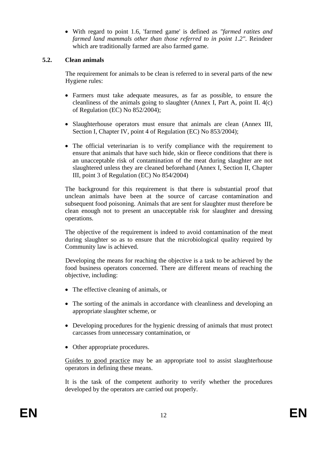• With regard to point 1.6, 'farmed game' is defined as *"farmed ratites and farmed land mammals other than those referred to in point 1.2"*. Reindeer which are traditionally farmed are also farmed game.

#### **5.2. Clean animals**

The requirement for animals to be clean is referred to in several parts of the new Hygiene rules:

- Farmers must take adequate measures, as far as possible, to ensure the cleanliness of the animals going to slaughter (Annex I, Part A, point II. 4(c) of Regulation (EC) No 852/2004);
- Slaughterhouse operators must ensure that animals are clean (Annex III, Section I, Chapter IV, point 4 of Regulation (EC) No 853/2004);
- The official veterinarian is to verify compliance with the requirement to ensure that animals that have such hide, skin or fleece conditions that there is an unacceptable risk of contamination of the meat during slaughter are not slaughtered unless they are cleaned beforehand (Annex I, Section II, Chapter III, point 3 of Regulation (EC) No 854/2004)

The background for this requirement is that there is substantial proof that unclean animals have been at the source of carcase contamination and subsequent food poisoning. Animals that are sent for slaughter must therefore be clean enough not to present an unacceptable risk for slaughter and dressing operations.

The objective of the requirement is indeed to avoid contamination of the meat during slaughter so as to ensure that the microbiological quality required by Community law is achieved.

Developing the means for reaching the objective is a task to be achieved by the food business operators concerned. There are different means of reaching the objective, including:

- The effective cleaning of animals, or
- The sorting of the animals in accordance with cleanliness and developing an appropriate slaughter scheme, or
- Developing procedures for the hygienic dressing of animals that must protect carcasses from unnecessary contamination, or
- Other appropriate procedures.

Guides to good practice may be an appropriate tool to assist slaughterhouse operators in defining these means.

It is the task of the competent authority to verify whether the procedures developed by the operators are carried out properly.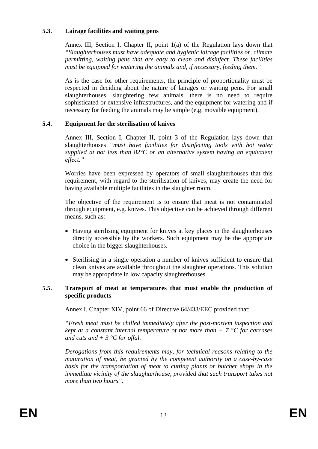#### **5.3. Lairage facilities and waiting pens**

Annex III, Section I, Chapter II, point 1(a) of the Regulation lays down that *"Slaughterhouses must have adequate and hygienic lairage facilities or, climate permitting, waiting pens that are easy to clean and disinfect. These facilities must be equipped for watering the animals and, if necessary, feeding them."*

As is the case for other requirements, the principle of proportionality must be respected in deciding about the nature of lairages or waiting pens. For small slaughterhouses, slaughtering few animals, there is no need to require sophisticated or extensive infrastructures, and the equipment for watering and if necessary for feeding the animals may be simple (e.g. movable equipment).

### **5.4. Equipment for the sterilisation of knives**

Annex III, Section I, Chapter II, point 3 of the Regulation lays down that slaughterhouses *"must have facilities for disinfecting tools with hot water supplied at not less than 82°C or an alternative system having an equivalent effect."* 

Worries have been expressed by operators of small slaughterhouses that this requirement, with regard to the sterilisation of knives, may create the need for having available multiple facilities in the slaughter room.

The objective of the requirement is to ensure that meat is not contaminated through equipment, e.g. knives. This objective can be achieved through different means, such as:

- Having sterilising equipment for knives at key places in the slaughterhouses directly accessible by the workers. Such equipment may be the appropriate choice in the bigger slaughterhouses.
- Sterilising in a single operation a number of knives sufficient to ensure that clean knives are available throughout the slaughter operations. This solution may be appropriate in low capacity slaughterhouses.

#### **5.5. Transport of meat at temperatures that must enable the production of specific products**

Annex I, Chapter XIV, point 66 of Directive 64/433/EEC provided that:

*"Fresh meat must be chilled immediately after the post-mortem inspection and kept at a constant internal temperature of not more than + 7 °C for carcases and cuts and + 3 °C for offal.* 

*Derogations from this requirements may, for technical reasons relating to the maturation of meat, be granted by the competent authority on a case-by-case basis for the transportation of meat to cutting plants or butcher shops in the immediate vicinity of the slaughterhouse, provided that such transport takes not more than two hours".*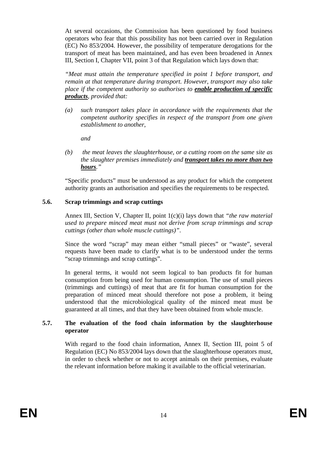At several occasions, the Commission has been questioned by food business operators who fear that this possibility has not been carried over in Regulation (EC) No 853/2004. However, the possibility of temperature derogations for the transport of meat has been maintained, and has even been broadened in Annex III, Section I, Chapter VII, point 3 of that Regulation which lays down that:

*"Meat must attain the temperature specified in point 1 before transport, and remain at that temperature during transport. However, transport may also take place if the competent authority so authorises to enable production of specific products, provided that:* 

*(a) such transport takes place in accordance with the requirements that the competent authority specifies in respect of the transport from one given establishment to another,* 

*and* 

*(b) the meat leaves the slaughterhouse, or a cutting room on the same site as the slaughter premises immediately and transport takes no more than two hours."* 

"Specific products" must be understood as any product for which the competent authority grants an authorisation and specifies the requirements to be respected.

#### **5.6. Scrap trimmings and scrap cuttings**

Annex III, Section V, Chapter II, point 1(c)(i) lays down that *"the raw material used to prepare minced meat must not derive from scrap trimmings and scrap cuttings (other than whole muscle cuttings)"*.

Since the word "scrap" may mean either "small pieces" or "waste", several requests have been made to clarify what is to be understood under the terms "scrap trimmings and scrap cuttings".

In general terms, it would not seem logical to ban products fit for human consumption from being used for human consumption. The use of small pieces (trimmings and cuttings) of meat that are fit for human consumption for the preparation of minced meat should therefore not pose a problem, it being understood that the microbiological quality of the minced meat must be guaranteed at all times, and that they have been obtained from whole muscle.

#### **5.7. The evaluation of the food chain information by the slaughterhouse operator**

With regard to the food chain information, Annex II, Section III, point 5 of Regulation (EC) No 853/2004 lays down that the slaughterhouse operators must, in order to check whether or not to accept animals on their premises, evaluate the relevant information before making it available to the official veterinarian.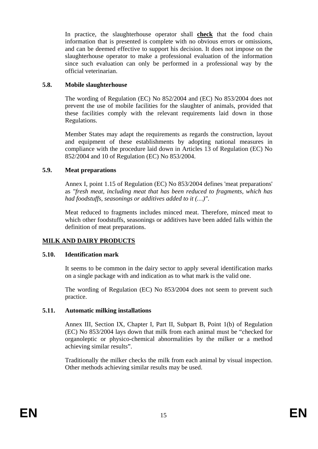In practice, the slaughterhouse operator shall **check** that the food chain information that is presented is complete with no obvious errors or omissions, and can be deemed effective to support his decision. It does not impose on the slaughterhouse operator to make a professional evaluation of the information since such evaluation can only be performed in a professional way by the official veterinarian.

#### **5.8. Mobile slaughterhouse**

The wording of Regulation (EC) No 852/2004 and (EC) No 853/2004 does not prevent the use of mobile facilities for the slaughter of animals, provided that these facilities comply with the relevant requirements laid down in those Regulations.

Member States may adapt the requirements as regards the construction, layout and equipment of these establishments by adopting national measures in compliance with the procedure laid down in Articles 13 of Regulation (EC) No 852/2004 and 10 of Regulation (EC) No 853/2004.

#### **5.9. Meat preparations**

Annex I, point 1.15 of Regulation (EC) No 853/2004 defines 'meat preparations' as *"fresh meat, including meat that has been reduced to fragments, which has had foodstuffs, seasonings or additives added to it (…)"*.

Meat reduced to fragments includes minced meat. Therefore, minced meat to which other foodstuffs, seasonings or additives have been added falls within the definition of meat preparations.

### **MILK AND DAIRY PRODUCTS**

#### **5.10. Identification mark**

It seems to be common in the dairy sector to apply several identification marks on a single package with and indication as to what mark is the valid one.

The wording of Regulation (EC) No 853/2004 does not seem to prevent such practice.

#### **5.11. Automatic milking installations**

Annex III, Section IX, Chapter I, Part II, Subpart B, Point 1(b) of Regulation (EC) No 853/2004 lays down that milk from each animal must be "checked for organoleptic or physico-chemical abnormalities by the milker or a method achieving similar results".

Traditionally the milker checks the milk from each animal by visual inspection. Other methods achieving similar results may be used.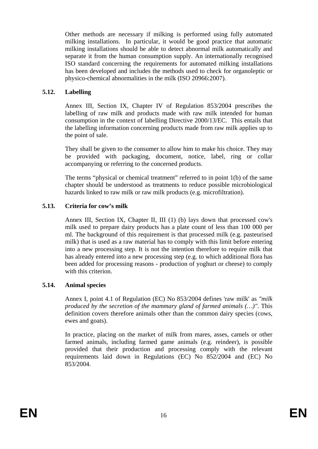Other methods are necessary if milking is performed using fully automated milking installations. In particular, it would be good practice that automatic milking installations should be able to detect abnormal milk automatically and separate it from the human consumption supply. An internationally recognised ISO standard concerning the requirements for automated milking installations has been developed and includes the methods used to check for organoleptic or physico-chemical abnormalities in the milk (ISO 20966:2007).

#### **5.12. Labelling**

Annex III, Section IX, Chapter IV of Regulation 853/2004 prescribes the labelling of raw milk and products made with raw milk intended for human consumption in the context of labelling Directive 2000/13/EC. This entails that the labelling information concerning products made from raw milk applies up to the point of sale.

They shall be given to the consumer to allow him to make his choice. They may be provided with packaging, document, notice, label, ring or collar accompanying or referring to the concerned products.

The terms "physical or chemical treatment" referred to in point 1(b) of the same chapter should be understood as treatments to reduce possible microbiological hazards linked to raw milk or raw milk products (e.g. microfiltration).

#### **5.13. Criteria for cow's milk**

Annex III, Section IX, Chapter II, III (1) (b) lays down that processed cow's milk used to prepare dairy products has a plate count of less than 100 000 per ml. The background of this requirement is that processed milk (e.g. pasteurised milk) that is used as a raw material has to comply with this limit before entering into a new processing step. It is not the intention therefore to require milk that has already entered into a new processing step (e.g. to which additional flora has been added for processing reasons - production of yoghurt or cheese) to comply with this criterion.

#### **5.14. Animal species**

Annex I, point 4.1 of Regulation (EC) No 853/2004 defines 'raw milk' as *"milk produced by the secretion of the mammary gland of farmed animals (…)"*. This definition covers therefore animals other than the common dairy species (cows, ewes and goats).

In practice, placing on the market of milk from mares, asses, camels or other farmed animals, including farmed game animals (e.g. reindeer), is possible provided that their production and processing comply with the relevant requirements laid down in Regulations (EC) No 852/2004 and (EC) No 853/2004.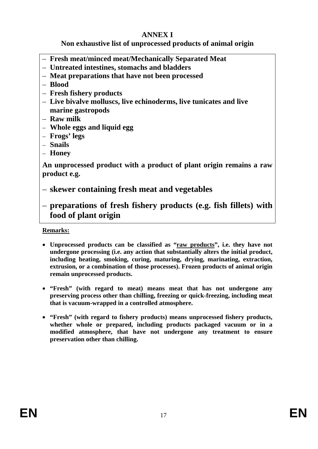# **ANNEX I**

# **Non exhaustive list of unprocessed products of animal origin**

- **Fresh meat/minced meat/Mechanically Separated Meat**
- **Untreated intestines, stomachs and bladders**
- **Meat preparations that have not been processed**
- **Blood**
- **Fresh fishery products**
- **Live bivalve molluscs, live echinoderms, live tunicates and live marine gastropods**
- **Raw milk**
- **Whole eggs and liquid egg**
- **Frogs' legs**
- **Snails**
- **Honey**

**An unprocessed product with a product of plant origin remains a raw product e.g.** 

- **skewer containing fresh meat and vegetables**
- **preparations of fresh fishery products (e.g. fish fillets) with food of plant origin**

### **Remarks:**

- **Unprocessed products can be classified as "raw products", i.e. they have not undergone processing (i.e. any action that substantially alters the initial product, including heating, smoking, curing, maturing, drying, marinating, extraction, extrusion, or a combination of those processes). Frozen products of animal origin remain unprocessed products.**
- **"Fresh" (with regard to meat) means meat that has not undergone any preserving process other than chilling, freezing or quick-freezing, including meat that is vacuum-wrapped in a controlled atmosphere.**
- **"Fresh" (with regard to fishery products) means unprocessed fishery products, whether whole or prepared, including products packaged vacuum or in a modified atmosphere, that have not undergone any treatment to ensure preservation other than chilling.**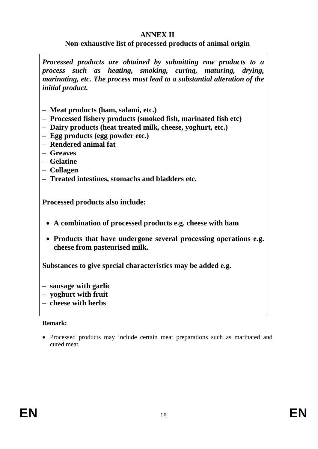# **ANNEX II**

# **Non-exhaustive list of processed products of animal origin**

*Processed products are obtained by submitting raw products to a process such as heating, smoking, curing, maturing, drying, marinating, etc. The process must lead to a substantial alteration of the initial product.* 

- **Meat products (ham, salami, etc.)**
- **Processed fishery products (smoked fish, marinated fish etc)**
- **Dairy products (heat treated milk, cheese, yoghurt, etc.)**
- **Egg products (egg powder etc.)**
- **Rendered animal fat**
- **Greaves**
- **Gelatine**
- **Collagen**
- **Treated intestines, stomachs and bladders etc.**

**Processed products also include:** 

- **A combination of processed products e.g. cheese with ham**
- **Products that have undergone several processing operations e.g. cheese from pasteurised milk.**

**Substances to give special characteristics may be added e.g.** 

- **sausage with garlic**
- **yoghurt with fruit**
- **cheese with herbs**

#### **Remark:**

• Processed products may include certain meat preparations such as marinated and cured meat.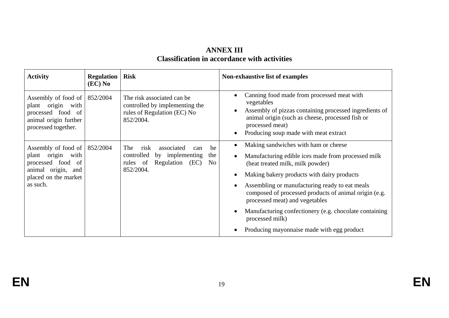## **ANNEX III Classification in accordance with activities**

| <b>Activity</b>                                                                                                         | <b>Regulation</b><br>$(EC)$ No | <b>Risk</b>                                                                                                                   | Non-exhaustive list of examples                                                                                                                                                                                                                                                                                                                                                                                                                      |
|-------------------------------------------------------------------------------------------------------------------------|--------------------------------|-------------------------------------------------------------------------------------------------------------------------------|------------------------------------------------------------------------------------------------------------------------------------------------------------------------------------------------------------------------------------------------------------------------------------------------------------------------------------------------------------------------------------------------------------------------------------------------------|
| Assembly of food of<br>plant origin with<br>processed food of<br>animal origin further<br>processed together.           | 852/2004                       | The risk associated can be<br>controlled by implementing the<br>rules of Regulation (EC) No<br>852/2004.                      | Canning food made from processed meat with<br>vegetables<br>Assembly of pizzas containing processed ingredients of<br>animal origin (such as cheese, processed fish or<br>processed meat)<br>Producing soup made with meat extract                                                                                                                                                                                                                   |
| Assembly of food of<br>plant origin with<br>processed food of<br>animal origin, and<br>placed on the market<br>as such. | 852/2004                       | risk<br>The<br>associated<br>be<br>can<br>controlled by implementing<br>the<br>Regulation (EC)<br>rules of<br>No<br>852/2004. | Making sandwiches with ham or cheese<br>Manufacturing edible ices made from processed milk<br>(heat treated milk, milk powder)<br>Making bakery products with dairy products<br>Assembling or manufacturing ready to eat meals<br>composed of processed products of animal origin (e.g.<br>processed meat) and vegetables<br>Manufacturing confectionery (e.g. chocolate containing<br>processed milk)<br>Producing mayonnaise made with egg product |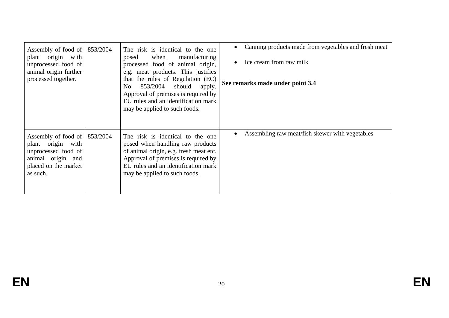| Assembly of food of $ 853/2004 $<br>plant origin with<br>unprocessed food of<br>animal origin further<br>processed together.          | The risk is identical to the one<br>when<br>manufacturing<br>posed<br>processed food of animal origin,<br>e.g. meat products. This justifies<br>that the rules of Regulation (EC)<br>should<br>853/2004<br>No<br>apply.<br>Approval of premises is required by<br>EU rules and an identification mark<br>may be applied to such foods. | Canning products made from vegetables and fresh meat<br>Ice cream from raw milk<br>See remarks made under point 3.4 |
|---------------------------------------------------------------------------------------------------------------------------------------|----------------------------------------------------------------------------------------------------------------------------------------------------------------------------------------------------------------------------------------------------------------------------------------------------------------------------------------|---------------------------------------------------------------------------------------------------------------------|
| Assembly of food of $ 853/2004 $<br>plant origin with<br>unprocessed food of<br>animal origin and<br>placed on the market<br>as such. | The risk is identical to the one<br>posed when handling raw products<br>of animal origin, e.g. fresh meat etc.<br>Approval of premises is required by<br>EU rules and an identification mark<br>may be applied to such foods.                                                                                                          | Assembling raw meat/fish skewer with vegetables                                                                     |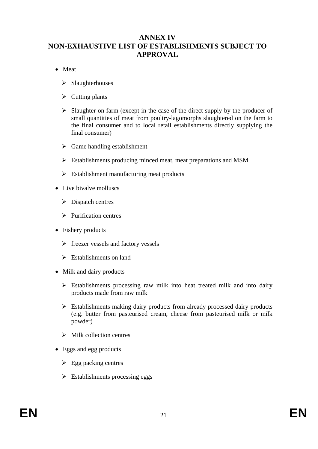## **ANNEX IV NON-EXHAUSTIVE LIST OF ESTABLISHMENTS SUBJECT TO APPROVAL**

- Meat
	- $\triangleright$  Slaughterhouses
	- $\triangleright$  Cutting plants
	- $\triangleright$  Slaughter on farm (except in the case of the direct supply by the producer of small quantities of meat from poultry-lagomorphs slaughtered on the farm to the final consumer and to local retail establishments directly supplying the final consumer)
	- $\triangleright$  Game handling establishment
	- ¾ Establishments producing minced meat, meat preparations and MSM
	- $\triangleright$  Establishment manufacturing meat products
- Live bivalve molluscs
	- $\triangleright$  Dispatch centres
	- $\triangleright$  Purification centres
- Fishery products
	- $\triangleright$  freezer vessels and factory vessels
	- $\triangleright$  Establishments on land
- Milk and dairy products
	- $\triangleright$  Establishments processing raw milk into heat treated milk and into dairy products made from raw milk
	- $\triangleright$  Establishments making dairy products from already processed dairy products (e.g. butter from pasteurised cream, cheese from pasteurised milk or milk powder)
	- $\triangleright$  Milk collection centres
- Eggs and egg products
	- $\triangleright$  Egg packing centres
	- $\triangleright$  Establishments processing eggs